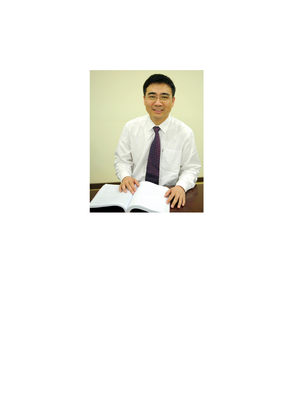